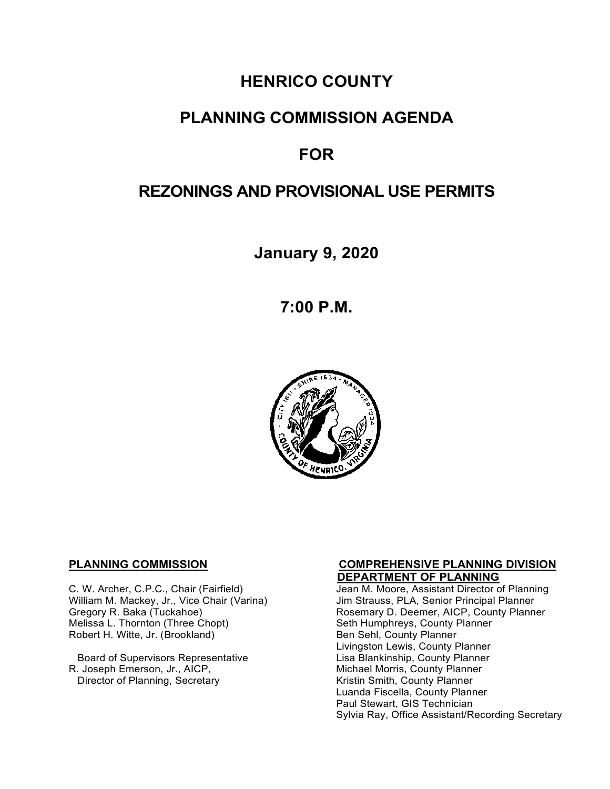# **HENRICO COUNTY**

# **PLANNING COMMISSION AGENDA**

# **FOR**

# **REZONINGS AND PROVISIONAL USE PERMITS**

**January 9, 2020**

**7:00 P.M.**



**C. W. Archer, C.P.C., Chair (Fairfield) C. W. Archer, C.P.C., Chair (Fairfield)** Jean M. Moore, Assistant Director o William M. Mackey, Jr., Vice Chair (Varina)<br>Gregory R. Baka (Tuckahoe) Melissa L. Thornton (Three Chopt) Seth Humphreys, County F<br>Robert H. Witte, Jr. (Brookland) Seth Sen Sehl, County Planner Robert H. Witte, Jr. (Brookland)

Board of Supervisors Representative<br>R. Joseph Emerson, Jr., AICP, Director of Planning, Secretary

# **PLANNING COMMISSION COMPREHENSIVE PLANNING DIVISION**

Jean M. Moore, Assistant Director of Planning<br>Jim Strauss, PLA, Senior Principal Planner Rosemary D. Deemer, AICP, County Planner<br>Seth Humphreys, County Planner Livingston Lewis, County Planner Michael Morris, County Planner<br>Kristin Smith, County Planner Luanda Fiscella, County Planner Paul Stewart, GIS Technician Sylvia Ray, Office Assistant/Recording Secretary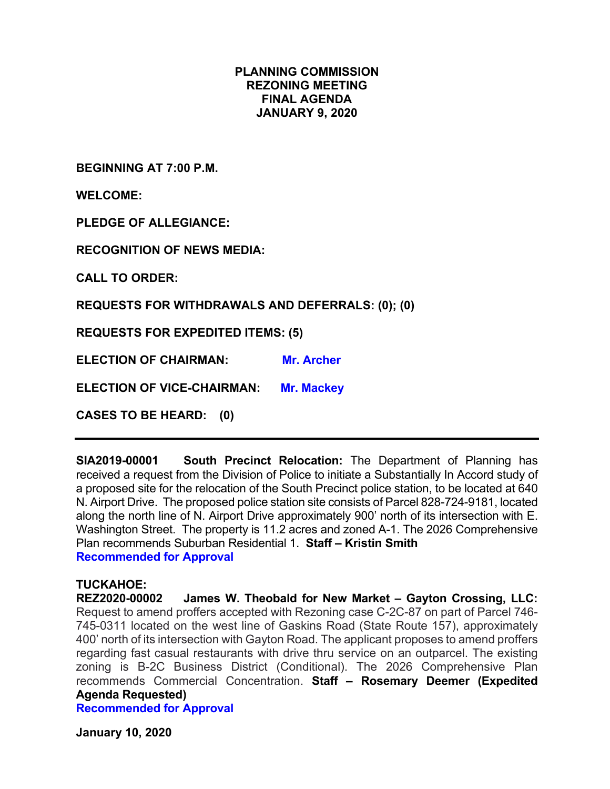## **PLANNING COMMISSION REZONING MEETING FINAL AGENDA JANUARY 9, 2020**

**BEGINNING AT 7:00 P.M.**

**WELCOME:**

**PLEDGE OF ALLEGIANCE:**

**RECOGNITION OF NEWS MEDIA:**

**CALL TO ORDER:**

**REQUESTS FOR WITHDRAWALS AND DEFERRALS: (0); (0)**

**REQUESTS FOR EXPEDITED ITEMS: (5)**

**ELECTION OF CHAIRMAN: Mr. Archer** 

**ELECTION OF VICE-CHAIRMAN: Mr. Mackey** 

**CASES TO BE HEARD: (0)**

**SIA2019-00001 South Precinct Relocation:** The Department of Planning has received a request from the Division of Police to initiate a Substantially In Accord study of a proposed site for the relocation of the South Precinct police station, to be located at 640 N. Airport Drive. The proposed police station site consists of Parcel 828-724-9181, located along the north line of N. Airport Drive approximately 900' north of its intersection with E. Washington Street. The property is 11.2 acres and zoned A-1. The 2026 Comprehensive Plan recommends Suburban Residential 1. **Staff – Kristin Smith Recommended for Approval**

**TUCKAHOE: James W. Theobald for New Market – Gayton Crossing, LLC:** Request to amend proffers accepted with Rezoning case C-2C-87 on part of Parcel 746- 745-0311 located on the west line of Gaskins Road (State Route 157), approximately 400' north of its intersection with Gayton Road. The applicant proposes to amend proffers regarding fast casual restaurants with drive thru service on an outparcel. The existing zoning is B-2C Business District (Conditional). The 2026 Comprehensive Plan recommends Commercial Concentration. **Staff – Rosemary Deemer (Expedited Agenda Requested)**

**Recommended for Approval**

**January 10, 2020**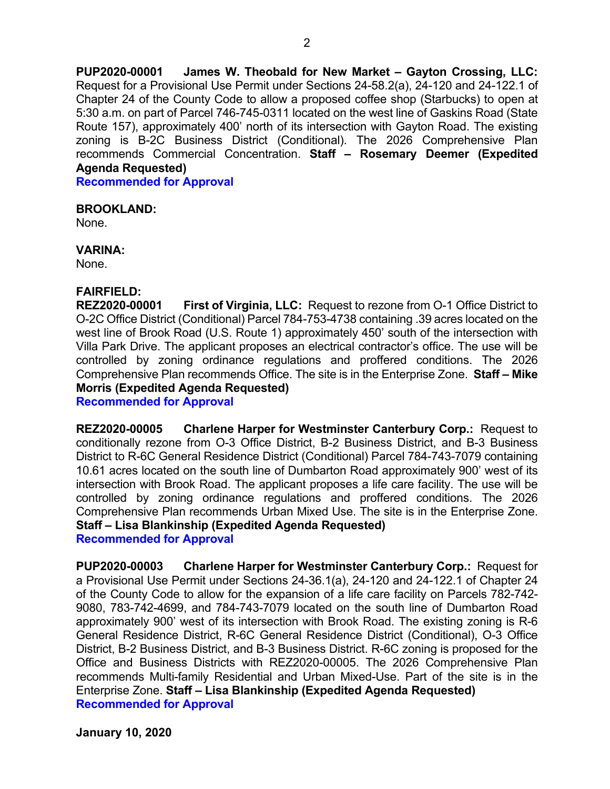**PUP2020-00001 James W. Theobald for New Market – Gayton Crossing, LLC:** Request for a Provisional Use Permit under Sections 24-58.2(a), 24-120 and 24-122.1 of Chapter 24 of the County Code to allow a proposed coffee shop (Starbucks) to open at 5:30 a.m. on part of Parcel 746-745-0311 located on the west line of Gaskins Road (State Route 157), approximately 400' north of its intersection with Gayton Road. The existing zoning is B-2C Business District (Conditional). The 2026 Comprehensive Plan recommends Commercial Concentration. **Staff – Rosemary Deemer (Expedited Agenda Requested)**

**Recommended for Approval**

### **BROOKLAND:**

None.

**VARINA:**

None.

## **FAIRFIELD:**

**REZ2020-00001 First of Virginia, LLC:** Request to rezone from O-1 Office District to O-2C Office District (Conditional) Parcel 784-753-4738 containing .39 acres located on the west line of Brook Road (U.S. Route 1) approximately 450' south of the intersection with Villa Park Drive. The applicant proposes an electrical contractor's office. The use will be controlled by zoning ordinance regulations and proffered conditions. The 2026 Comprehensive Plan recommends Office. The site is in the Enterprise Zone. **Staff – Mike Morris (Expedited Agenda Requested)**

**Recommended for Approval**

**REZ2020-00005 Charlene Harper for Westminster Canterbury Corp.:** Request to conditionally rezone from O-3 Office District, B-2 Business District, and B-3 Business District to R-6C General Residence District (Conditional) Parcel 784-743-7079 containing 10.61 acres located on the south line of Dumbarton Road approximately 900' west of its intersection with Brook Road. The applicant proposes a life care facility. The use will be controlled by zoning ordinance regulations and proffered conditions. The 2026 Comprehensive Plan recommends Urban Mixed Use. The site is in the Enterprise Zone. **Staff – Lisa Blankinship (Expedited Agenda Requested)**

**Recommended for Approval**

**PUP2020-00003 Charlene Harper for Westminster Canterbury Corp.:** Request for a Provisional Use Permit under Sections 24-36.1(a), 24-120 and 24-122.1 of Chapter 24 of the County Code to allow for the expansion of a life care facility on Parcels 782-742- 9080, 783-742-4699, and 784-743-7079 located on the south line of Dumbarton Road approximately 900' west of its intersection with Brook Road. The existing zoning is R-6 General Residence District, R-6C General Residence District (Conditional), O-3 Office District, B-2 Business District, and B-3 Business District. R-6C zoning is proposed for the Office and Business Districts with REZ2020-00005. The 2026 Comprehensive Plan recommends Multi-family Residential and Urban Mixed-Use. Part of the site is in the Enterprise Zone. **Staff – Lisa Blankinship (Expedited Agenda Requested) Recommended for Approval**

**January 10, 2020**